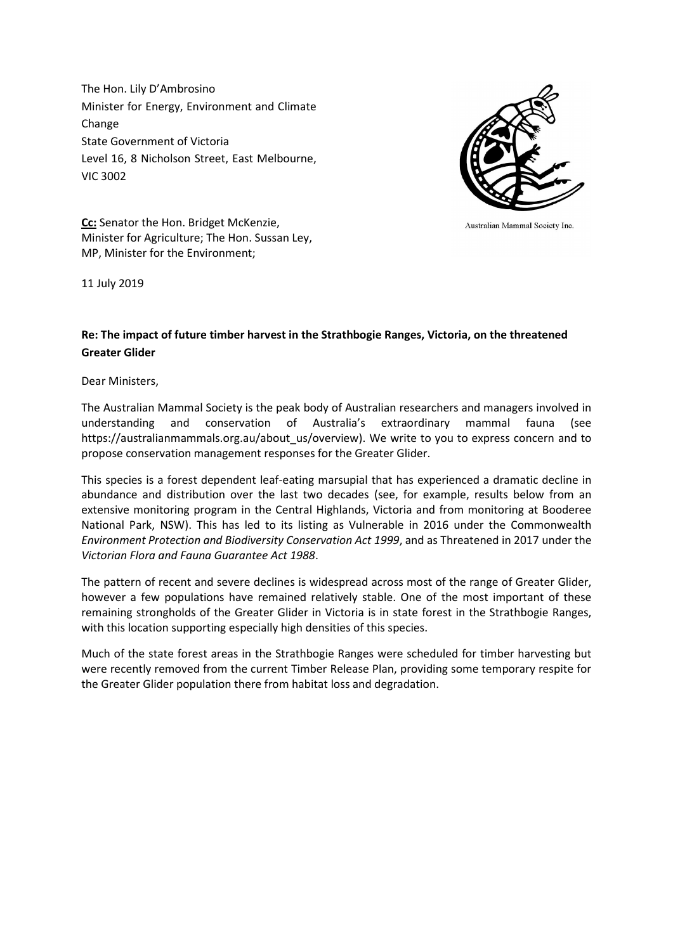The Hon. Lily D'Ambrosino Minister for Energy, Environment and Climate Change State Government of Victoria Level 16, 8 Nicholson Street, East Melbourne, VIC 3002



Australian Mammal Society Inc.

Cc: Senator the Hon. Bridget McKenzie, Minister for Agriculture; The Hon. Sussan Ley, MP, Minister for the Environment;

11 July 2019

## Re: The impact of future timber harvest in the Strathbogie Ranges, Victoria, on the threatened Greater Glider

Dear Ministers,

The Australian Mammal Society is the peak body of Australian researchers and managers involved in understanding and conservation of Australia's extraordinary mammal fauna (see https://australianmammals.org.au/about\_us/overview). We write to you to express concern and to propose conservation management responses for the Greater Glider.

This species is a forest dependent leaf-eating marsupial that has experienced a dramatic decline in abundance and distribution over the last two decades (see, for example, results below from an extensive monitoring program in the Central Highlands, Victoria and from monitoring at Booderee National Park, NSW). This has led to its listing as Vulnerable in 2016 under the Commonwealth Environment Protection and Biodiversity Conservation Act 1999, and as Threatened in 2017 under the Victorian Flora and Fauna Guarantee Act 1988.

The pattern of recent and severe declines is widespread across most of the range of Greater Glider, however a few populations have remained relatively stable. One of the most important of these remaining strongholds of the Greater Glider in Victoria is in state forest in the Strathbogie Ranges, with this location supporting especially high densities of this species.

Much of the state forest areas in the Strathbogie Ranges were scheduled for timber harvesting but were recently removed from the current Timber Release Plan, providing some temporary respite for the Greater Glider population there from habitat loss and degradation.